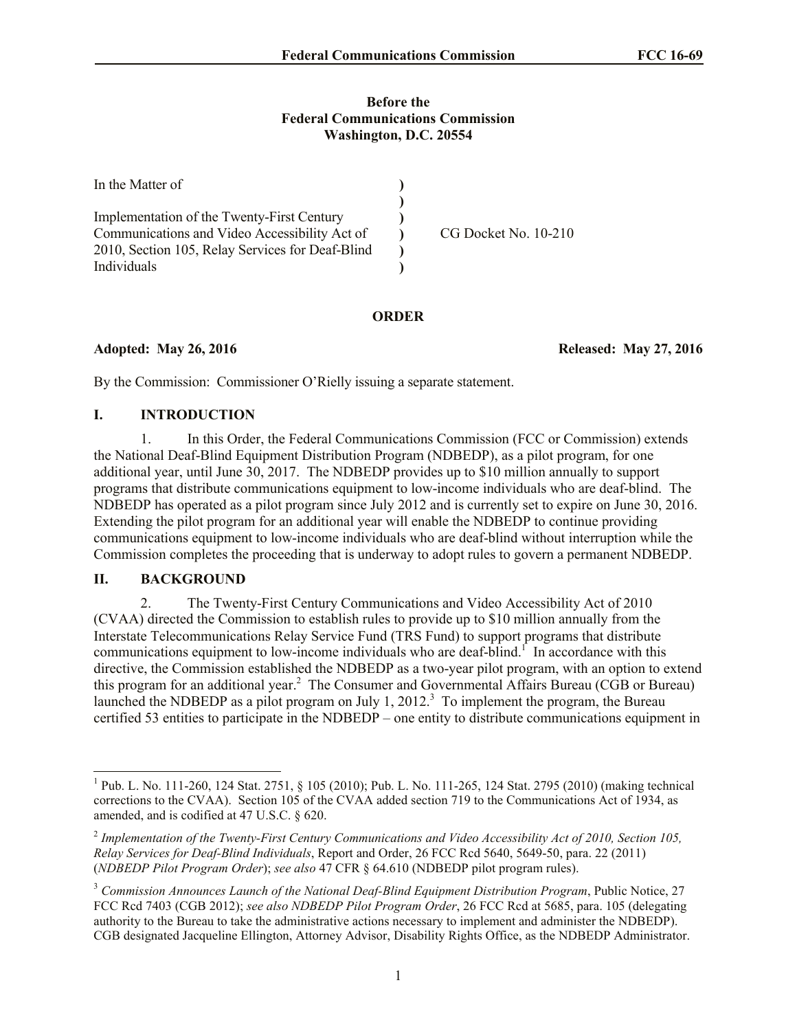#### **Before the Federal Communications Commission Washington, D.C. 20554**

| In the Matter of                                 |                      |
|--------------------------------------------------|----------------------|
|                                                  |                      |
| Implementation of the Twenty-First Century       |                      |
| Communications and Video Accessibility Act of    | CG Docket No. 10-210 |
| 2010, Section 105, Relay Services for Deaf-Blind |                      |
| Individuals                                      |                      |

#### **ORDER**

**Adopted: May 26, 2016 Released: May 27, 2016**

By the Commission: Commissioner O'Rielly issuing a separate statement.

## **I. INTRODUCTION**

1. In this Order, the Federal Communications Commission (FCC or Commission) extends the National Deaf-Blind Equipment Distribution Program (NDBEDP), as a pilot program, for one additional year, until June 30, 2017. The NDBEDP provides up to \$10 million annually to support programs that distribute communications equipment to low-income individuals who are deaf-blind. The NDBEDP has operated as a pilot program since July 2012 and is currently set to expire on June 30, 2016. Extending the pilot program for an additional year will enable the NDBEDP to continue providing communications equipment to low-income individuals who are deaf-blind without interruption while the Commission completes the proceeding that is underway to adopt rules to govern a permanent NDBEDP.

## **II. BACKGROUND**

l

2. The Twenty-First Century Communications and Video Accessibility Act of 2010 (CVAA) directed the Commission to establish rules to provide up to \$10 million annually from the Interstate Telecommunications Relay Service Fund (TRS Fund) to support programs that distribute communications equipment to low-income individuals who are deaf-blind.<sup> $\Gamma$ </sup> In accordance with this directive, the Commission established the NDBEDP as a two-year pilot program, with an option to extend this program for an additional year.<sup>2</sup> The Consumer and Governmental Affairs Bureau (CGB or Bureau) launched the NDBEDP as a pilot program on July 1, 2012.<sup>3</sup> To implement the program, the Bureau certified 53 entities to participate in the NDBEDP – one entity to distribute communications equipment in

<sup>&</sup>lt;sup>1</sup> Pub. L. No. 111-260, 124 Stat. 2751, § 105 (2010); Pub. L. No. 111-265, 124 Stat. 2795 (2010) (making technical corrections to the CVAA). Section 105 of the CVAA added section 719 to the Communications Act of 1934, as amended, and is codified at 47 U.S.C. § 620.

<sup>2</sup> *Implementation of the Twenty-First Century Communications and Video Accessibility Act of 2010, Section 105, Relay Services for Deaf-Blind Individuals*, Report and Order, 26 FCC Rcd 5640, 5649-50, para. 22 (2011) (*NDBEDP Pilot Program Order*); *see also* 47 CFR § 64.610 (NDBEDP pilot program rules).

<sup>3</sup> *Commission Announces Launch of the National Deaf-Blind Equipment Distribution Program*, Public Notice, 27 FCC Rcd 7403 (CGB 2012); *see also NDBEDP Pilot Program Order*, 26 FCC Rcd at 5685, para. 105 (delegating authority to the Bureau to take the administrative actions necessary to implement and administer the NDBEDP). CGB designated Jacqueline Ellington, Attorney Advisor, Disability Rights Office, as the NDBEDP Administrator.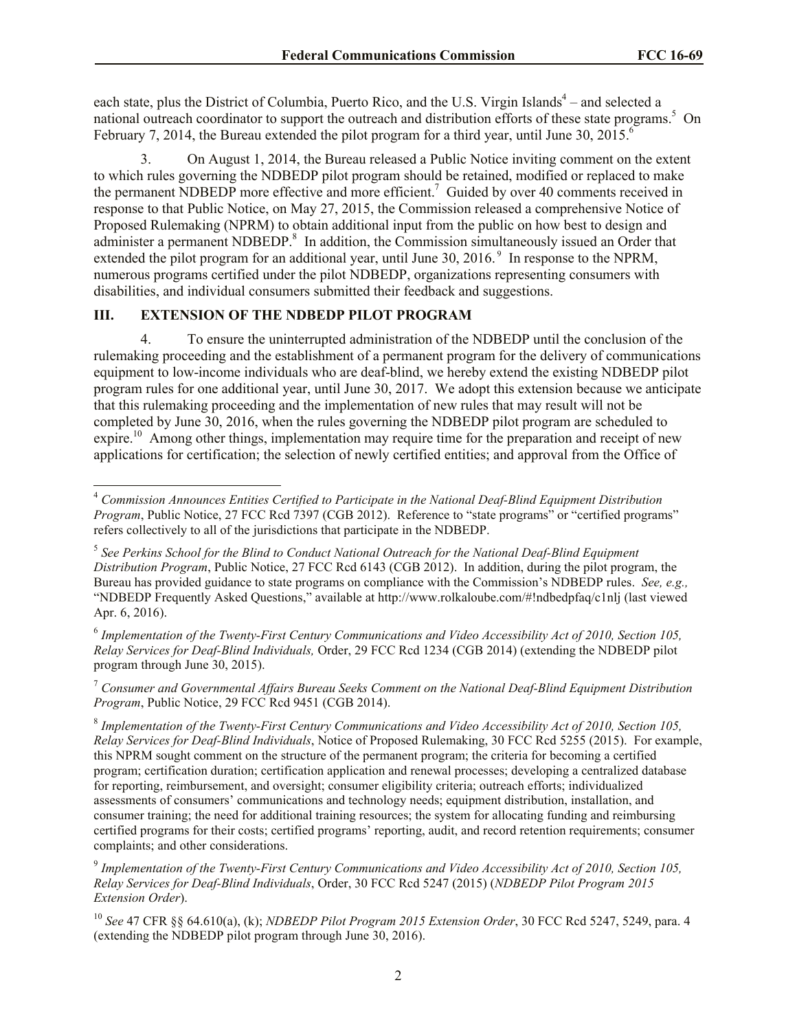each state, plus the District of Columbia, Puerto Rico, and the U.S. Virgin Islands<sup>4</sup> – and selected a national outreach coordinator to support the outreach and distribution efforts of these state programs.<sup>5</sup> On February 7, 2014, the Bureau extended the pilot program for a third year, until June 30, 2015.<sup>6</sup>

3. On August 1, 2014, the Bureau released a Public Notice inviting comment on the extent to which rules governing the NDBEDP pilot program should be retained, modified or replaced to make the permanent NDBEDP more effective and more efficient.<sup>7</sup> Guided by over 40 comments received in response to that Public Notice, on May 27, 2015, the Commission released a comprehensive Notice of Proposed Rulemaking (NPRM) to obtain additional input from the public on how best to design and administer a permanent NDBEDP.<sup>8</sup> In addition, the Commission simultaneously issued an Order that extended the pilot program for an additional year, until June 30, 2016. <sup>9</sup> In response to the NPRM, numerous programs certified under the pilot NDBEDP, organizations representing consumers with disabilities, and individual consumers submitted their feedback and suggestions.

# **III. EXTENSION OF THE NDBEDP PILOT PROGRAM**

 $\overline{a}$ 

4. To ensure the uninterrupted administration of the NDBEDP until the conclusion of the rulemaking proceeding and the establishment of a permanent program for the delivery of communications equipment to low-income individuals who are deaf-blind, we hereby extend the existing NDBEDP pilot program rules for one additional year, until June 30, 2017. We adopt this extension because we anticipate that this rulemaking proceeding and the implementation of new rules that may result will not be completed by June 30, 2016, when the rules governing the NDBEDP pilot program are scheduled to expire.<sup>10</sup> Among other things, implementation may require time for the preparation and receipt of new applications for certification; the selection of newly certified entities; and approval from the Office of

6 *Implementation of the Twenty-First Century Communications and Video Accessibility Act of 2010, Section 105, Relay Services for Deaf-Blind Individuals,* Order, 29 FCC Rcd 1234 (CGB 2014) (extending the NDBEDP pilot program through June 30, 2015).

<sup>7</sup> *Consumer and Governmental Affairs Bureau Seeks Comment on the National Deaf-Blind Equipment Distribution Program*, Public Notice, 29 FCC Rcd 9451 (CGB 2014).

<sup>4</sup> *Commission Announces Entities Certified to Participate in the National Deaf-Blind Equipment Distribution Program*, Public Notice, 27 FCC Rcd 7397 (CGB 2012). Reference to "state programs" or "certified programs" refers collectively to all of the jurisdictions that participate in the NDBEDP.

<sup>5</sup> *See Perkins School for the Blind to Conduct National Outreach for the National Deaf-Blind Equipment Distribution Program*, Public Notice, 27 FCC Rcd 6143 (CGB 2012). In addition, during the pilot program, the Bureau has provided guidance to state programs on compliance with the Commission's NDBEDP rules. *See, e.g.,* "NDBEDP Frequently Asked Questions," available at http://www.rolkaloube.com/#!ndbedpfaq/c1nlj (last viewed Apr. 6, 2016).

<sup>8</sup> *Implementation of the Twenty-First Century Communications and Video Accessibility Act of 2010, Section 105, Relay Services for Deaf-Blind Individuals*, Notice of Proposed Rulemaking, 30 FCC Rcd 5255 (2015). For example, this NPRM sought comment on the structure of the permanent program; the criteria for becoming a certified program; certification duration; certification application and renewal processes; developing a centralized database for reporting, reimbursement, and oversight; consumer eligibility criteria; outreach efforts; individualized assessments of consumers' communications and technology needs; equipment distribution, installation, and consumer training; the need for additional training resources; the system for allocating funding and reimbursing certified programs for their costs; certified programs' reporting, audit, and record retention requirements; consumer complaints; and other considerations.

<sup>9</sup> *Implementation of the Twenty-First Century Communications and Video Accessibility Act of 2010, Section 105, Relay Services for Deaf-Blind Individuals*, Order, 30 FCC Rcd 5247 (2015) (*NDBEDP Pilot Program 2015 Extension Order*).

<sup>10</sup> *See* 47 CFR §§ 64.610(a), (k); *NDBEDP Pilot Program 2015 Extension Order*, 30 FCC Rcd 5247, 5249, para. 4 (extending the NDBEDP pilot program through June 30, 2016).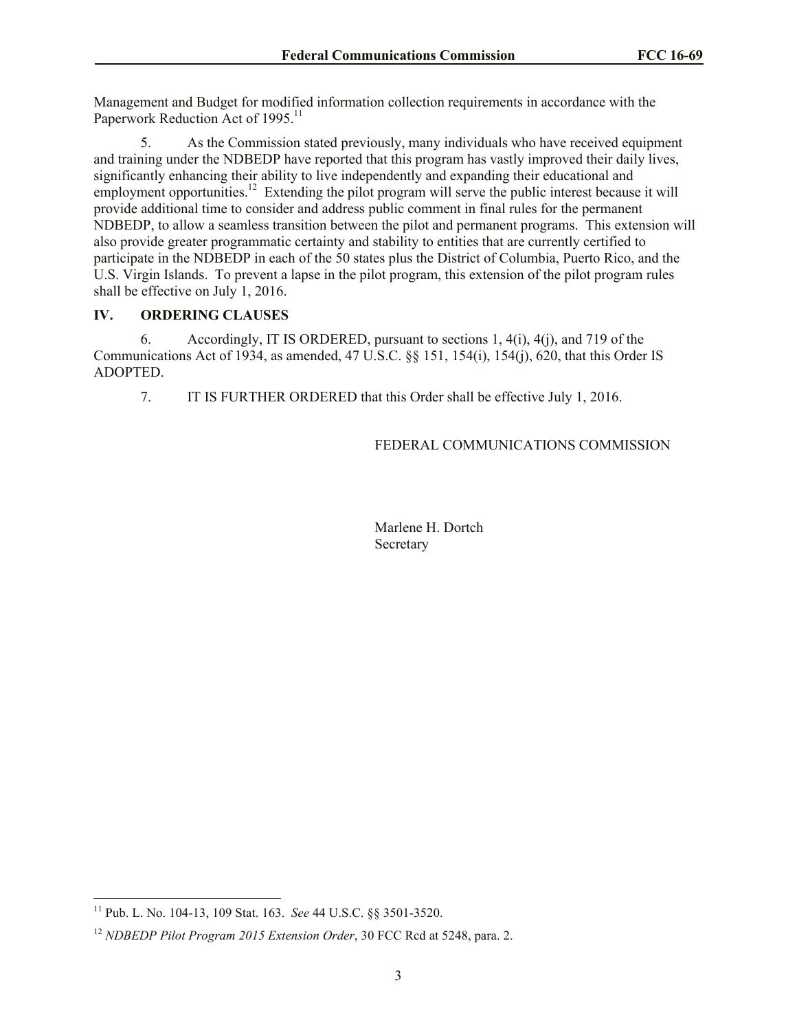Management and Budget for modified information collection requirements in accordance with the Paperwork Reduction Act of 1995.<sup>11</sup>

5. As the Commission stated previously, many individuals who have received equipment and training under the NDBEDP have reported that this program has vastly improved their daily lives, significantly enhancing their ability to live independently and expanding their educational and employment opportunities.<sup>12</sup> Extending the pilot program will serve the public interest because it will provide additional time to consider and address public comment in final rules for the permanent NDBEDP, to allow a seamless transition between the pilot and permanent programs. This extension will also provide greater programmatic certainty and stability to entities that are currently certified to participate in the NDBEDP in each of the 50 states plus the District of Columbia, Puerto Rico, and the U.S. Virgin Islands. To prevent a lapse in the pilot program, this extension of the pilot program rules shall be effective on July 1, 2016.

# **IV. ORDERING CLAUSES**

6. Accordingly, IT IS ORDERED, pursuant to sections 1, 4(i), 4(j), and 719 of the Communications Act of 1934, as amended, 47 U.S.C. §§ 151, 154(i), 154(j), 620, that this Order IS ADOPTED.

7. IT IS FURTHER ORDERED that this Order shall be effective July 1, 2016.

# FEDERAL COMMUNICATIONS COMMISSION

Marlene H. Dortch Secretary

l

<sup>11</sup> Pub. L. No. 104-13, 109 Stat. 163. *See* 44 U.S.C. §§ 3501-3520.

<sup>12</sup> *NDBEDP Pilot Program 2015 Extension Order*, 30 FCC Rcd at 5248, para. 2.